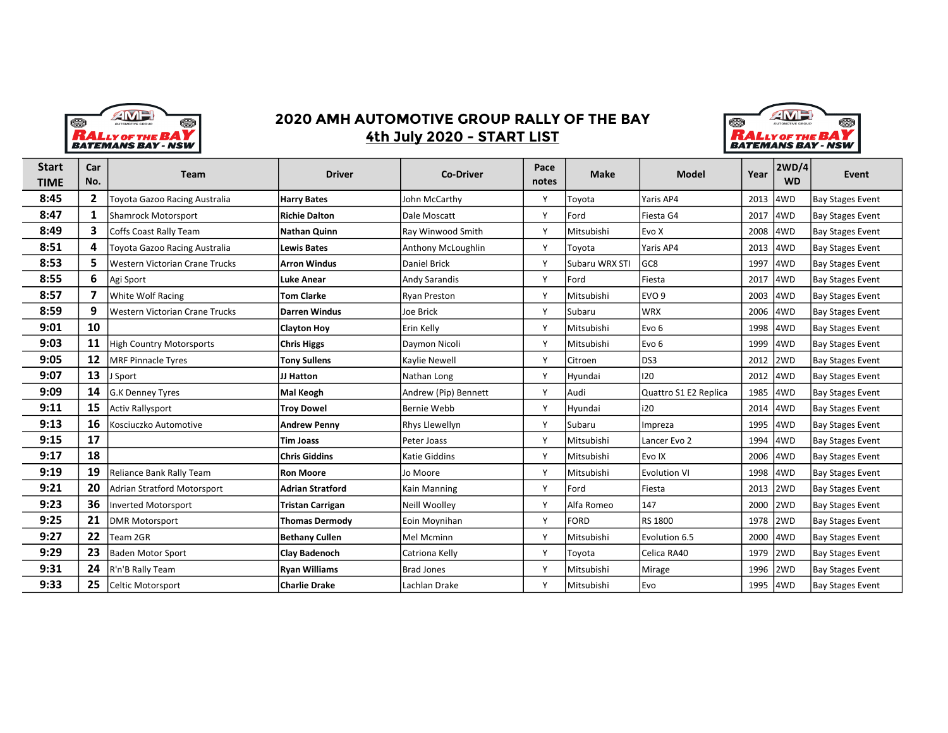

## 2020 AMH AUTOMOTIVE GROUP RALLY OF THE BAY 4th July 2020 - START LIST



| <b>Start</b><br>TIME | Car<br>No.   | Team                            | <b>Driver</b>           | <b>Co-Driver</b>     | Pace<br>notes | <b>Make</b>    | <b>Model</b>          | Year     | 2WD/4<br><b>WD</b> | Event                   |
|----------------------|--------------|---------------------------------|-------------------------|----------------------|---------------|----------------|-----------------------|----------|--------------------|-------------------------|
|                      |              |                                 |                         |                      |               |                |                       |          |                    |                         |
| 8:45                 | $\mathbf{2}$ | Toyota Gazoo Racing Australia   | <b>Harry Bates</b>      | John McCarthy        | Y             | Toyota         | Yaris AP4             | 2013 4WD |                    | Bay Stages Event        |
| 8:47                 | $\mathbf{1}$ | Shamrock Motorsport             | <b>Richie Dalton</b>    | Dale Moscatt         | Y             | Ford           | Fiesta G4             | 2017 4WD |                    | Bay Stages Event        |
| 8:49                 | 3            | Coffs Coast Rally Team          | <b>Nathan Quinn</b>     | Ray Winwood Smith    | Y             | Mitsubishi     | Evo X                 | 2008 4WD |                    | Bay Stages Event        |
| 8:51                 | 4            | Toyota Gazoo Racing Australia   | <b>Lewis Bates</b>      | Anthony McLoughlin   | Y             | Toyota         | Yaris AP4             | 2013 4WD |                    | Bay Stages Event        |
| 8:53                 | 5            | Western Victorian Crane Trucks  | <b>Arron Windus</b>     | Daniel Brick         | Y             | Subaru WRX STI | GC8                   | 1997     | 4WD                | Bay Stages Event        |
| 8:55                 | 6            | Agi Sport                       | <b>Luke Anear</b>       | <b>Andy Sarandis</b> | Y             | Ford           | Fiesta                | 2017     | 4WD                | Bay Stages Event        |
| 8:57                 |              | <b>White Wolf Racing</b>        | <b>Tom Clarke</b>       | Ryan Preston         | Y             | Mitsubishi     | EVO <sub>9</sub>      | 2003 4WD |                    | <b>Bay Stages Event</b> |
| 8:59                 | 9            | Western Victorian Crane Trucks  | <b>Darren Windus</b>    | Joe Brick            | Y             | Subaru         | <b>WRX</b>            | 2006     | 4WD                | Bay Stages Event        |
| 9:01                 | 10           |                                 | <b>Clayton Hoy</b>      | Erin Kelly           | Y             | Mitsubishi     | Evo <sub>6</sub>      | 1998 4WD |                    | <b>Bay Stages Event</b> |
| 9:03                 | 11           | <b>High Country Motorsports</b> | <b>Chris Higgs</b>      | Daymon Nicoli        | Y             | Mitsubishi     | Evo <sub>6</sub>      | 1999     | 4WD                | Bay Stages Event        |
| 9:05                 | 12           | MRF Pinnacle Tyres              | <b>Tony Sullens</b>     | <b>Kaylie Newell</b> | Y             | Citroen        | DS3                   | 2012 2WD |                    | Bay Stages Event        |
| 9:07                 | 13           | Sport                           | JJ Hatton               | Nathan Long          | Y             | Hyundai        | 120                   | 2012 4WD |                    | Bay Stages Event        |
| 9:09                 | 14           | G.K Denney Tyres                | Mal Keogh               | Andrew (Pip) Bennett | Y             | Audi           | Quattro S1 E2 Replica | 1985     | 4WD                | <b>Bay Stages Event</b> |
| 9:11                 | 15           | Activ Rallysport                | <b>Troy Dowel</b>       | Bernie Webb          | Y             | Hyundai        | i20                   | 2014 4WD |                    | <b>Bay Stages Event</b> |
| 9:13                 | 16           | Kosciuczko Automotive           | <b>Andrew Penny</b>     | Rhys Llewellyn       | Y             | Subaru         | Impreza               | 1995     | 4WD                | Bay Stages Event        |
| 9:15                 | 17           |                                 | <b>Tim Joass</b>        | lPeter Joass         | Y             | Mitsubishi     | Lancer Evo 2          | 1994 4WD |                    | Bay Stages Event        |
| 9:17                 | 18           |                                 | <b>Chris Giddins</b>    | <b>Katie Giddins</b> | Y             | Mitsubishi     | Evo IX                | 2006 4WD |                    | Bay Stages Event        |
| 9:19                 | 19           | Reliance Bank Rally Team        | <b>Ron Moore</b>        | Jo Moore             | Y             | Mitsubishi     | <b>Evolution VI</b>   | 1998 4WD |                    | <b>Bay Stages Event</b> |
| 9:21                 | 20           | Adrian Stratford Motorsport     | <b>Adrian Stratford</b> | Kain Manning         | Y             | Ford           | Fiesta                | 2013 2WD |                    | Bay Stages Event        |
| 9:23                 | 36           | Inverted Motorsport             | <b>Tristan Carrigan</b> | <b>Neill Woolley</b> | Y             | Alfa Romeo     | 147                   | 2000     | 2WD                | Bay Stages Event        |
| 9:25                 | 21           | DMR Motorsport                  | <b>Thomas Dermody</b>   | Eoin Moynihan        | Y             | <b>FORD</b>    | RS 1800               | 1978 2WD |                    | Bay Stages Event        |
| 9:27                 | 22           | Team 2GR                        | <b>Bethany Cullen</b>   | Mel Mcminn           | Y             | Mitsubishi     | Evolution 6.5         | 2000 4WD |                    | <b>Bay Stages Event</b> |
| 9:29                 | 23           | Baden Motor Sport               | <b>Clay Badenoch</b>    | Catriona Kelly       | Y             | Toyota         | Celica RA40           | 1979     | 2WD                | Bay Stages Event        |
| 9:31                 | 24           | R'n'B Rally Team                | <b>Ryan Williams</b>    | <b>Brad Jones</b>    | Y             | Mitsubishi     | Mirage                | 1996 2WD |                    | <b>Bay Stages Event</b> |
| 9:33                 | 25           | Celtic Motorsport               | <b>Charlie Drake</b>    | Lachlan Drake        | Y             | Mitsubishi     | Evo                   | 1995 4WD |                    | <b>Bay Stages Event</b> |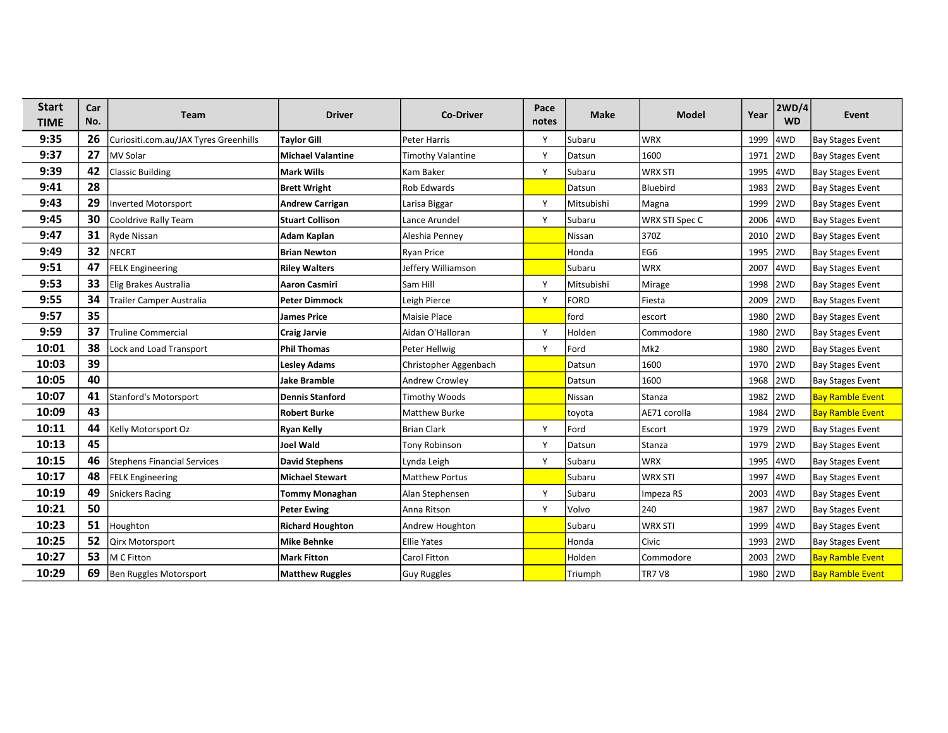| <b>Start</b><br><b>TIME</b> | Car<br>No. | Team                                  | <b>Driver</b>            | <b>Co-Driver</b>         | Pace<br>notes | <b>Make</b> | <b>Model</b>    | Year     | 2WD/4<br><b>WD</b> | Event                   |
|-----------------------------|------------|---------------------------------------|--------------------------|--------------------------|---------------|-------------|-----------------|----------|--------------------|-------------------------|
| 9:35                        | 26         | Curiositi.com.au/JAX Tyres Greenhills | <b>Taylor Gill</b>       | Peter Harris             | Y             | Subaru      | <b>WRX</b>      | 1999     | 4WD                | <b>Bay Stages Event</b> |
| 9:37                        | 27         | MV Solar                              | <b>Michael Valantine</b> | <b>Timothy Valantine</b> | Y             | Datsun      | 1600            | 1971     | 2WD                | <b>Bay Stages Event</b> |
| 9:39                        | 42         | <b>Classic Building</b>               | Mark Wills               | Kam Baker                | Υ             | Subaru      | <b>WRX STI</b>  | 1995     | 4WD                | <b>Bay Stages Event</b> |
| 9:41                        | 28         |                                       | <b>Brett Wright</b>      | <b>Rob Edwards</b>       |               | Datsun      | Bluebird        | 1983     | 2WD                | <b>Bay Stages Event</b> |
| 9:43                        | 29         | Inverted Motorsport                   | <b>Andrew Carrigan</b>   | Larisa Biggar            | Υ             | Mitsubishi  | Magna           | 1999     | 2WD                | <b>Bay Stages Event</b> |
| 9:45                        | 30         | Cooldrive Rally Team                  | <b>Stuart Collison</b>   | Lance Arundel            | Y             | Subaru      | WRX STI Spec C  | 2006     | 4WD                | <b>Bay Stages Event</b> |
| 9:47                        | 31         | Ryde Nissan                           | Adam Kaplan              | Aleshia Penney           |               | Nissan      | 370Z            | 2010     | 2WD                | <b>Bay Stages Event</b> |
| 9:49                        | 32         | NFCRT                                 | <b>Brian Newton</b>      | Ryan Price               |               | Honda       | EG6             | 1995     | 2WD                | <b>Bay Stages Event</b> |
| 9:51                        | 47         | <b>FELK Engineering</b>               | <b>Riley Walters</b>     | Jeffery Williamson       |               | Subaru      | <b>WRX</b>      | 2007     | 4WD                | <b>Bay Stages Event</b> |
| 9:53                        | 33         | Elig Brakes Australia                 | <b>Aaron Casmiri</b>     | Sam Hill                 | Y             | Mitsubishi  | Mirage          | 1998     | 2WD                | <b>Bay Stages Event</b> |
| 9:55                        | 34         | Trailer Camper Australia              | Peter Dimmock            | Leigh Pierce             | Υ             | <b>FORD</b> | Fiesta          | 2009     | 2WD                | <b>Bay Stages Event</b> |
| 9:57                        | 35         |                                       | <b>James Price</b>       | Maisie Place             |               | ford        | escort          | 1980     | 2WD                | <b>Bay Stages Event</b> |
| 9:59                        | 37         | <b>Truline Commercial</b>             | <b>Craig Jarvie</b>      | Aidan O'Halloran         | Y             | Holden      | Commodore       | 1980     | 2WD                | <b>Bay Stages Event</b> |
| 10:01                       | 38         | Lock and Load Transport               | <b>Phil Thomas</b>       | Peter Hellwig            | Y             | Ford        | Mk <sub>2</sub> | 1980     | 2WD                | <b>Bay Stages Event</b> |
| 10:03                       | 39         |                                       | <b>Lesley Adams</b>      | Christopher Aggenbach    |               | Datsun      | 1600            | 1970     | 2WD                | <b>Bay Stages Event</b> |
| 10:05                       | 40         |                                       | <b>Jake Bramble</b>      | <b>Andrew Crowley</b>    |               | Datsun      | 1600            | 1968     | 2WD                | <b>Bay Stages Event</b> |
| 10:07                       | 41         | Stanford's Motorsport                 | <b>Dennis Stanford</b>   | Timothy Woods            |               | Nissan      | Stanza          | 1982     | 2WD                | <b>Bay Ramble Event</b> |
| 10:09                       | 43         |                                       | <b>Robert Burke</b>      | Matthew Burke            |               | toyota      | AE71 corolla    | 1984     | 2WD                | <b>Bay Ramble Event</b> |
| 10:11                       | 44         | Kelly Motorsport Oz                   | <b>Ryan Kelly</b>        | Brian Clark              | Y             | Ford        | Escort          | 1979     | 2WD                | <b>Bay Stages Event</b> |
| 10:13                       | 45         |                                       | <b>Joel Wald</b>         | <b>Tony Robinson</b>     | Y             | Datsun      | Stanza          | 1979     | 2WD                | <b>Bay Stages Event</b> |
| 10:15                       | 46         | <b>Stephens Financial Services</b>    | <b>David Stephens</b>    | Lynda Leigh              | Y             | Subaru      | <b>WRX</b>      | 1995     | 4WD                | <b>Bay Stages Event</b> |
| 10:17                       | 48         | <b>FELK Engineering</b>               | <b>Michael Stewart</b>   | <b>Matthew Portus</b>    |               | Subaru      | <b>WRX STI</b>  | 1997     | 4WD                | <b>Bay Stages Event</b> |
| 10:19                       | 49         | <b>Snickers Racing</b>                | <b>Tommy Monaghan</b>    | Alan Stephensen          | Y             | Subaru      | Impeza RS       | 2003     | 4WD                | <b>Bay Stages Event</b> |
| 10:21                       | 50         |                                       | <b>Peter Ewing</b>       | Anna Ritson              | Y             | Volvo       | 240             | 1987     | 2WD                | <b>Bay Stages Event</b> |
| 10:23                       | 51         | Houghton                              | <b>Richard Houghton</b>  | Andrew Houghton          |               | Subaru      | <b>WRX STI</b>  | 1999     | 4WD                | <b>Bay Stages Event</b> |
| 10:25                       | 52         | Qirx Motorsport                       | <b>Mike Behnke</b>       | <b>Ellie Yates</b>       |               | Honda       | Civic           | 1993     | 2WD                | <b>Bay Stages Event</b> |
| 10:27                       | 53         | M C Fitton                            | <b>Mark Fitton</b>       | Carol Fitton             |               | Holden      | Commodore       | 2003     | 2WD                | <b>Bay Ramble Event</b> |
| 10:29                       | 69         | Ben Ruggles Motorsport                | <b>Matthew Ruggles</b>   | Guy Ruggles              |               | Triumph     | <b>TR7 V8</b>   | 1980 2WD |                    | <b>Bay Ramble Event</b> |